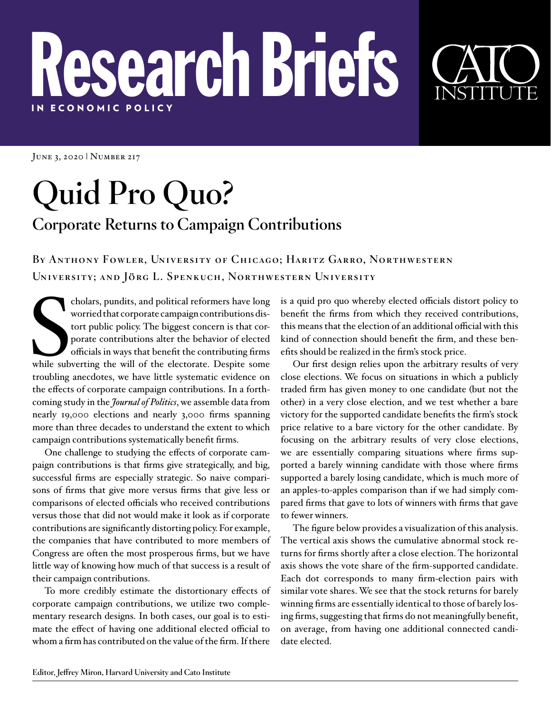## Research Briefs IN E C ONOMIC POLICY

JUNE 3, 2020 | NUMBER 217

## **Quid Pro Quo? Corporate Returns to Campaign Contributions**

**By Anthony Fowler, University of Chicago; Haritz Garro, Northwestern University; and Jörg L. Spenkuch, Northwestern University**

cholars, pundits, and political reformers have long<br>worried that corporate campaign contributions dis-<br>tort public policy. The biggest concern is that cor-<br>porate contributions alter the behavior of elected<br>officials in wa cholars, pundits, and political reformers have long worried that corporate campaign contributions distort public policy. The biggest concern is that corporate contributions alter the behavior of elected officials in ways that benefit the contributing firms troubling anecdotes, we have little systematic evidence on the effects of corporate campaign contributions. In a forthcoming study in the *Journal of Politics*, we assemble data from nearly 19,000 elections and nearly 3,000 firms spanning more than three decades to understand the extent to which campaign contributions systematically benefit firms.

One challenge to studying the effects of corporate campaign contributions is that firms give strategically, and big, successful firms are especially strategic. So naive comparisons of firms that give more versus firms that give less or comparisons of elected officials who received contributions versus those that did not would make it look as if corporate contributions are significantly distorting policy. For example, the companies that have contributed to more members of Congress are often the most prosperous firms, but we have little way of knowing how much of that success is a result of their campaign contributions.

To more credibly estimate the distortionary effects of corporate campaign contributions, we utilize two complementary research designs. In both cases, our goal is to estimate the effect of having one additional elected official to whom a firm has contributed on the value of the firm. If there

is a quid pro quo whereby elected officials distort policy to benefit the firms from which they received contributions, this means that the election of an additional official with this kind of connection should benefit the firm, and these benefits should be realized in the firm's stock price.

Our first design relies upon the arbitrary results of very close elections. We focus on situations in which a publicly traded firm has given money to one candidate (but not the other) in a very close election, and we test whether a bare victory for the supported candidate benefits the firm's stock price relative to a bare victory for the other candidate. By focusing on the arbitrary results of very close elections, we are essentially comparing situations where firms supported a barely winning candidate with those where firms supported a barely losing candidate, which is much more of an apples-to-apples comparison than if we had simply compared firms that gave to lots of winners with firms that gave to fewer winners.

The figure below provides a visualization of this analysis. The vertical axis shows the cumulative abnormal stock returns for firms shortly after a close election. The horizontal axis shows the vote share of the firm-supported candidate. Each dot corresponds to many firm-election pairs with similar vote shares. We see that the stock returns for barely winning firms are essentially identical to those of barely losing firms, suggesting that firms do not meaningfully benefit, on average, from having one additional connected candidate elected.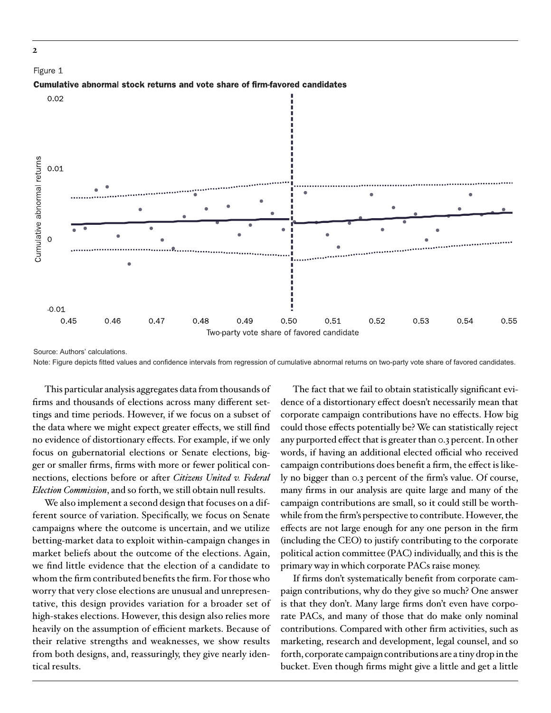

Note: Figure depicts fitted values and confidence intervals from regression of cumulative abnormal returns on two-party vote share of favored candidates.

This particular analysis aggregates data from thousands of firms and thousands of elections across many different settings and time periods. However, if we focus on a subset of the data where we might expect greater effects, we still find no evidence of distortionary effects. For example, if we only focus on gubernatorial elections or Senate elections, bigger or smaller firms, firms with more or fewer political connections, elections before or after *Citizens United v. Federal Election Commission*, and so forth, we still obtain null results.

We also implement a second design that focuses on a different source of variation. Specifically, we focus on Senate campaigns where the outcome is uncertain, and we utilize betting-market data to exploit within-campaign changes in market beliefs about the outcome of the elections. Again, we find little evidence that the election of a candidate to whom the firm contributed benefits the firm. For those who worry that very close elections are unusual and unrepresentative, this design provides variation for a broader set of high-stakes elections. However, this design also relies more heavily on the assumption of efficient markets. Because of their relative strengths and weaknesses, we show results from both designs, and, reassuringly, they give nearly identical results.

The fact that we fail to obtain statistically significant evidence of a distortionary effect doesn't necessarily mean that corporate campaign contributions have no effects. How big could those effects potentially be? We can statistically reject any purported effect that is greater than 0.3 percent. In other words, if having an additional elected official who received campaign contributions does benefit a firm, the effect is likely no bigger than 0.3 percent of the firm's value. Of course, many firms in our analysis are quite large and many of the campaign contributions are small, so it could still be worthwhile from the firm's perspective to contribute. However, the effects are not large enough for any one person in the firm (including the CEO) to justify contributing to the corporate political action committee (PAC) individually, and this is the primary way in which corporate PACs raise money.

If firms don't systematically benefit from corporate campaign contributions, why do they give so much? One answer is that they don't. Many large firms don't even have corporate PACs, and many of those that do make only nominal contributions. Compared with other firm activities, such as marketing, research and development, legal counsel, and so forth, corporate campaign contributions are a tiny drop in the bucket. Even though firms might give a little and get a little

**2**